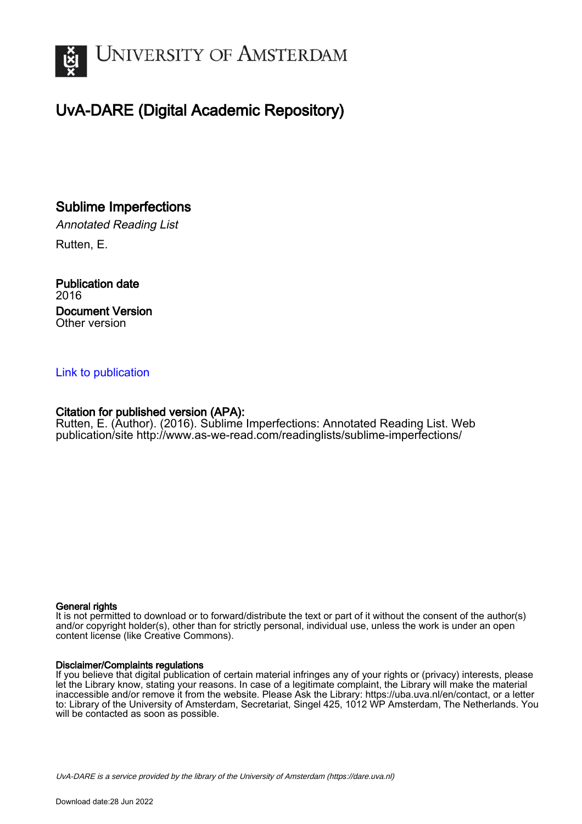

# UvA-DARE (Digital Academic Repository)

## Sublime Imperfections

Annotated Reading List Rutten, E.

Publication date 2016 Document Version Other version

#### [Link to publication](https://dare.uva.nl/personal/pure/en/publications/sublime-imperfections(e224d6e4-d94c-439a-89ce-1a380aeb670e).html)

#### Citation for published version (APA):

Rutten, E. (Author). (2016). Sublime Imperfections: Annotated Reading List. Web publication/site <http://www.as-we-read.com/readinglists/sublime-imperfections/>

#### General rights

It is not permitted to download or to forward/distribute the text or part of it without the consent of the author(s) and/or copyright holder(s), other than for strictly personal, individual use, unless the work is under an open content license (like Creative Commons).

#### Disclaimer/Complaints regulations

If you believe that digital publication of certain material infringes any of your rights or (privacy) interests, please let the Library know, stating your reasons. In case of a legitimate complaint, the Library will make the material inaccessible and/or remove it from the website. Please Ask the Library: https://uba.uva.nl/en/contact, or a letter to: Library of the University of Amsterdam, Secretariat, Singel 425, 1012 WP Amsterdam, The Netherlands. You will be contacted as soon as possible.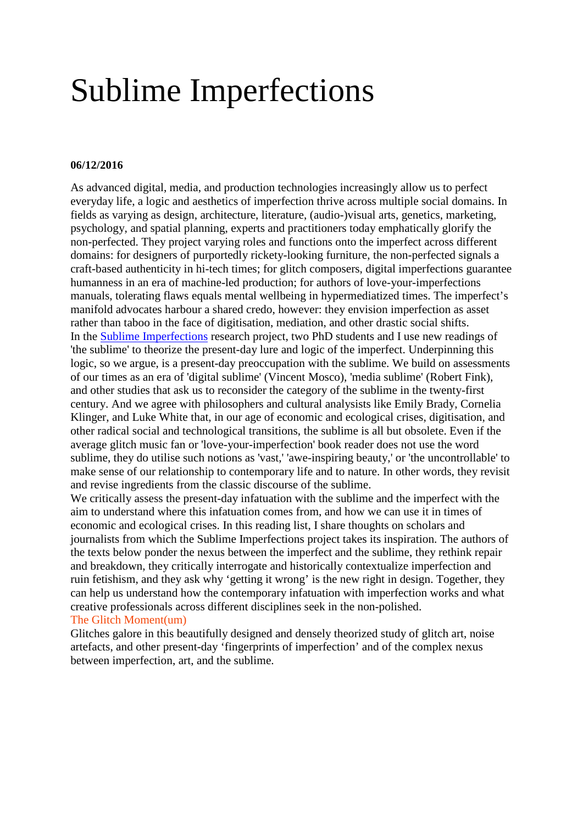# Sublime Imperfections

#### **06/12/2016**

As advanced digital, media, and production technologies increasingly allow us to perfect everyday life, a logic and aesthetics of imperfection thrive across multiple social domains. In fields as varying as design, architecture, literature, (audio-)visual arts, genetics, marketing, psychology, and spatial planning, experts and practitioners today emphatically glorify the non-perfected. They project varying roles and functions onto the imperfect across different domains: for designers of purportedly rickety-looking furniture, the non-perfected signals a craft-based authenticity in hi-tech times; for glitch composers, digital imperfections guarantee humanness in an era of machine-led production; for authors of love-your-imperfections manuals, tolerating flaws equals mental wellbeing in hypermediatized times. The imperfect's manifold advocates harbour a shared credo, however: they envision imperfection as asset rather than taboo in the face of digitisation, mediation, and other drastic social shifts. In the Sublime [Imperfections](http://www.sublimeimperfections.org/) research project, two PhD students and I use new readings of 'the sublime' to theorize the present-day lure and logic of the imperfect. Underpinning this logic, so we argue, is a present-day preoccupation with the sublime. We build on assessments of our times as an era of 'digital sublime' (Vincent Mosco), 'media sublime' (Robert Fink), and other studies that ask us to reconsider the category of the sublime in the twenty-first century. And we agree with philosophers and cultural analysists like Emily Brady, Cornelia Klinger, and Luke White that, in our age of economic and ecological crises, digitisation, and other radical social and technological transitions, the sublime is all but obsolete. Even if the average glitch music fan or 'love-your-imperfection' book reader does not use the word sublime, they do utilise such notions as 'vast,' 'awe-inspiring beauty,' or 'the uncontrollable' to make sense of our relationship to contemporary life and to nature. In other words, they revisit and revise ingredients from the classic discourse of the sublime.

We critically assess the present-day infatuation with the sublime and the imperfect with the aim to understand where this infatuation comes from, and how we can use it in times of economic and ecological crises. In this reading list, I share thoughts on scholars and journalists from which the Sublime Imperfections project takes its inspiration. The authors of the texts below ponder the nexus between the imperfect and the sublime, they rethink repair and breakdown, they critically interrogate and historically contextualize imperfection and ruin fetishism, and they ask why 'getting it wrong' is the new right in design. Together, they can help us understand how the contemporary infatuation with imperfection works and what creative professionals across different disciplines seek in the non-polished. The Glitch Moment(um)

Glitches galore in this beautifully designed and densely theorized study of glitch art, noise artefacts, and other present-day 'fingerprints of imperfection' and of the complex nexus between imperfection, art, and the sublime.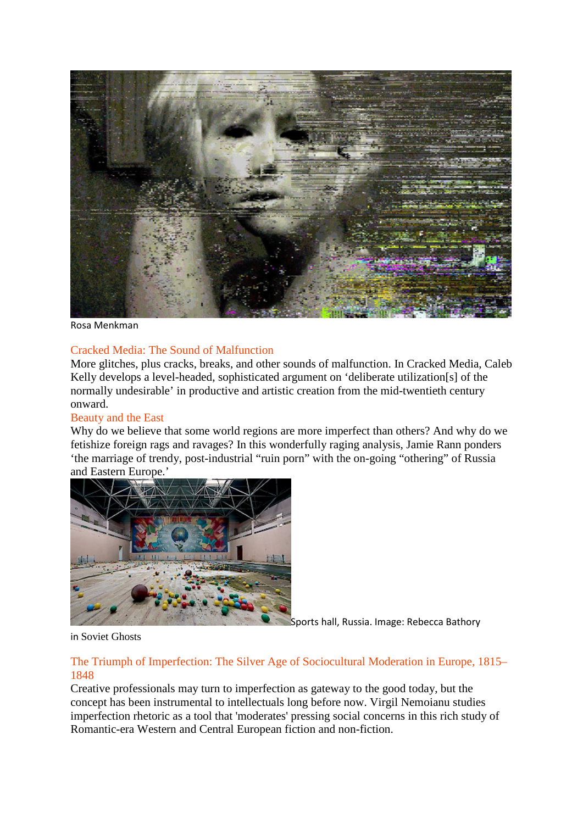

Rosa Menkman

#### Cracked Media: The Sound of Malfunction

More glitches, plus cracks, breaks, and other sounds of malfunction. In Cracked Media, Caleb Kelly develops a level-headed, sophisticated argument on 'deliberate utilization[s] of the normally undesirable' in productive and artistic creation from the mid-twentieth century onward.

#### Beauty and the East

Why do we believe that some world regions are more imperfect than others? And why do we fetishize foreign rags and ravages? In this wonderfully raging analysis, Jamie Rann ponders 'the marriage of trendy, post-industrial "ruin porn" with the on-going "othering" of Russia and Eastern Europe.'



Sports hall, Russia. Image: Rebecca Bathory

in Soviet Ghosts

#### The Triumph of Imperfection: The Silver Age of Sociocultural Moderation in Europe, 1815– 1848

Creative professionals may turn to imperfection as gateway to the good today, but the concept has been instrumental to intellectuals long before now. Virgil Nemoianu studies imperfection rhetoric as a tool that 'moderates' pressing social concerns in this rich study of Romantic-era Western and Central European fiction and non-fiction.